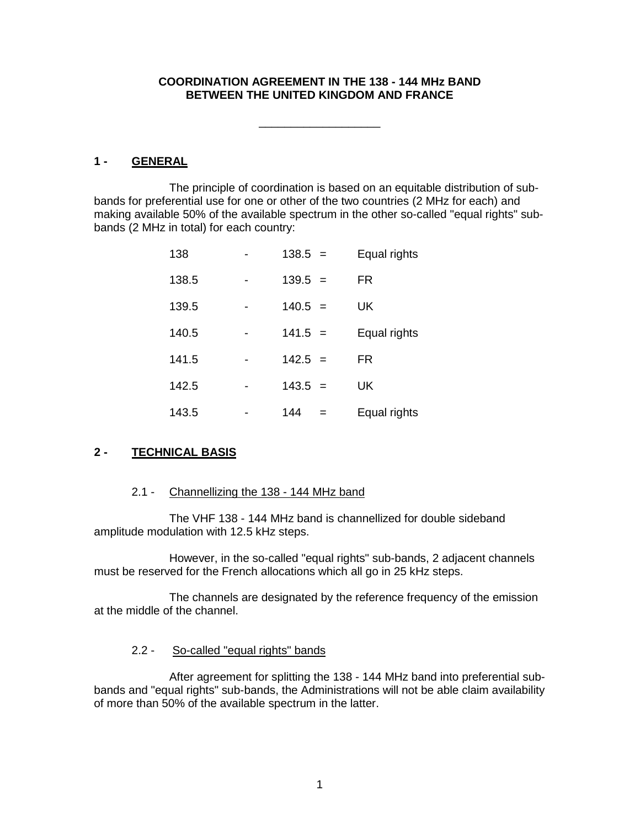### **COORDINATION AGREEMENT IN THE 138 - 144 MHz BAND BETWEEN THE UNITED KINGDOM AND FRANCE**

\_\_\_\_\_\_\_\_\_\_\_\_\_\_\_\_\_\_\_

**1 - GENERAL**

The principle of coordination is based on an equitable distribution of subbands for preferential use for one or other of the two countries (2 MHz for each) and making available 50% of the available spectrum in the other so-called "equal rights" subbands (2 MHz in total) for each country:

| 138   | $138.5 =$ | Equal rights |
|-------|-----------|--------------|
| 138.5 | $139.5 =$ | <b>FR</b>    |
| 139.5 | $140.5 =$ | <b>UK</b>    |
| 140.5 | $141.5 =$ | Equal rights |
| 141.5 | $142.5 =$ | FR           |
| 142.5 | $143.5 =$ | UK           |
| 143.5 | 144<br>=  | Equal rights |

# **2 - TECHNICAL BASIS**

### 2.1 - Channellizing the 138 - 144 MHz band

The VHF 138 - 144 MHz band is channellized for double sideband amplitude modulation with 12.5 kHz steps.

However, in the so-called "equal rights" sub-bands, 2 adjacent channels must be reserved for the French allocations which all go in 25 kHz steps.

The channels are designated by the reference frequency of the emission at the middle of the channel.

### 2.2 - So-called "equal rights" bands

After agreement for splitting the 138 - 144 MHz band into preferential subbands and "equal rights" sub-bands, the Administrations will not be able claim availability of more than 50% of the available spectrum in the latter.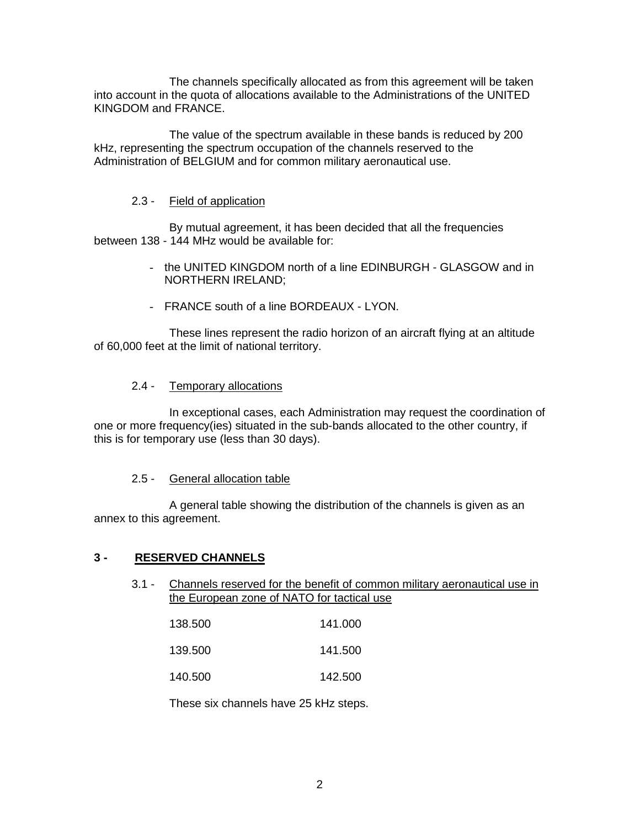The channels specifically allocated as from this agreement will be taken into account in the quota of allocations available to the Administrations of the UNITED KINGDOM and FRANCE.

The value of the spectrum available in these bands is reduced by 200 kHz, representing the spectrum occupation of the channels reserved to the Administration of BELGIUM and for common military aeronautical use.

# 2.3 - Field of application

By mutual agreement, it has been decided that all the frequencies between 138 - 144 MHz would be available for:

- the UNITED KINGDOM north of a line EDINBURGH GLASGOW and in NORTHERN IRELAND;
- FRANCE south of a line BORDEAUX LYON.

These lines represent the radio horizon of an aircraft flying at an altitude of 60,000 feet at the limit of national territory.

### 2.4 - Temporary allocations

In exceptional cases, each Administration may request the coordination of one or more frequency(ies) situated in the sub-bands allocated to the other country, if this is for temporary use (less than 30 days).

### 2.5 - General allocation table

A general table showing the distribution of the channels is given as an annex to this agreement.

### **3 - RESERVED CHANNELS**

3.1 - Channels reserved for the benefit of common military aeronautical use in the European zone of NATO for tactical use

| 138.500 | 141.000 |
|---------|---------|
|         |         |

139.500 141.500

140.500 142.500

These six channels have 25 kHz steps.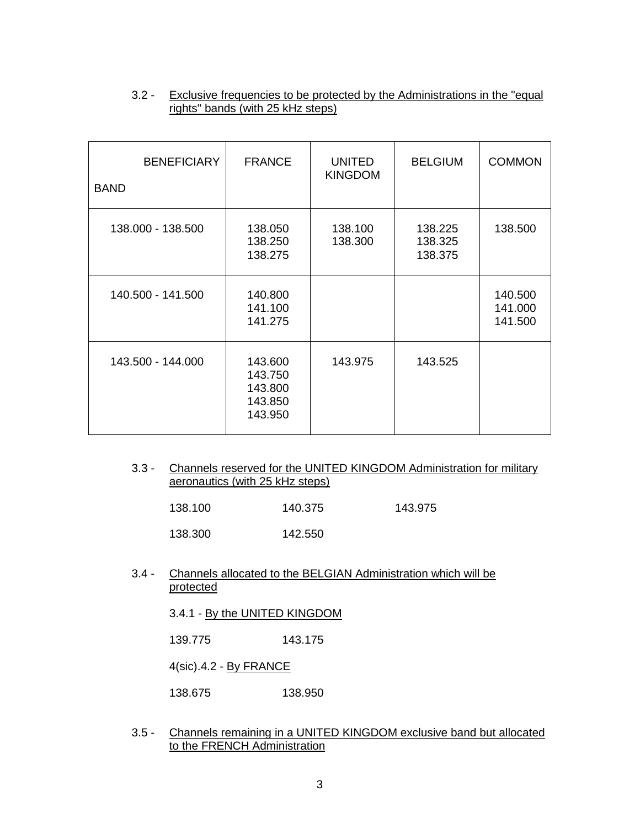| <b>BENEFICIARY</b><br><b>BAND</b> | <b>FRANCE</b>                                       | <b>UNITED</b><br><b>KINGDOM</b> | <b>BELGIUM</b>                | <b>COMMON</b>                 |
|-----------------------------------|-----------------------------------------------------|---------------------------------|-------------------------------|-------------------------------|
| 138.000 - 138.500                 | 138.050<br>138.250<br>138.275                       | 138.100<br>138.300              | 138.225<br>138.325<br>138.375 | 138.500                       |
| 140.500 - 141.500                 | 140.800<br>141.100<br>141.275                       |                                 |                               | 140.500<br>141.000<br>141.500 |
| 143.500 - 144.000                 | 143.600<br>143.750<br>143.800<br>143.850<br>143.950 | 143.975                         | 143.525                       |                               |

## 3.2 - Exclusive frequencies to be protected by the Administrations in the "equal rights" bands (with 25 kHz steps)

3.3 - Channels reserved for the UNITED KINGDOM Administration for military aeronautics (with 25 kHz steps)

| 138.100 | 140.375 | 143.975 |
|---------|---------|---------|
|---------|---------|---------|

138.300 142.550

### 3.4 - Channels allocated to the BELGIAN Administration which will be protected

3.4.1 - By the UNITED KINGDOM

139.775 143.175

4(sic).4.2 - By FRANCE

138.675 138.950

3.5 - Channels remaining in a UNITED KINGDOM exclusive band but allocated to the FRENCH Administration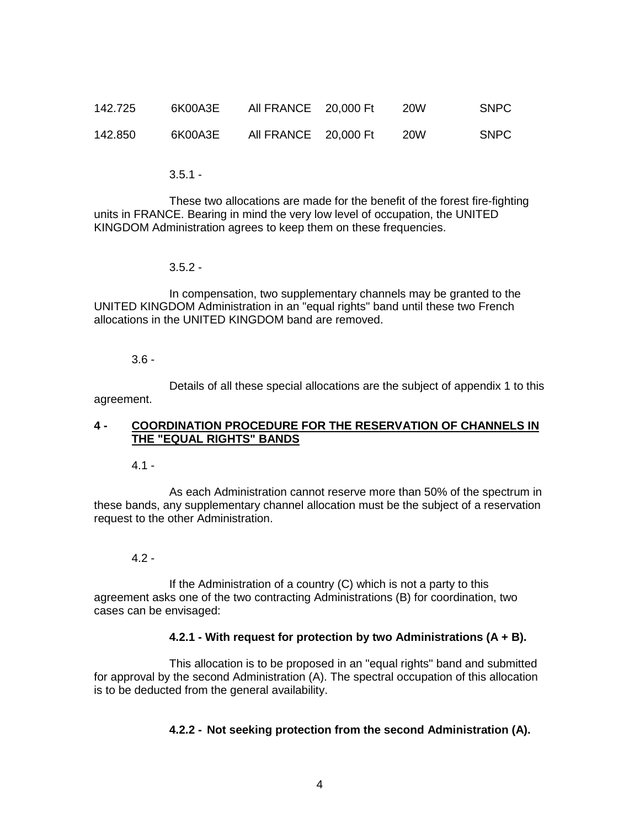| 142.725 | 6K00A3E | All FRANCE 20,000 Ft | <b>20W</b> | SNPC |
|---------|---------|----------------------|------------|------|
| 142.850 | 6K00A3E | All FRANCE 20,000 Ft | <b>20W</b> | SNPC |

 $3.5.1 -$ 

These two allocations are made for the benefit of the forest fire-fighting units in FRANCE. Bearing in mind the very low level of occupation, the UNITED KINGDOM Administration agrees to keep them on these frequencies.

 $3.5.2 -$ 

In compensation, two supplementary channels may be granted to the UNITED KINGDOM Administration in an "equal rights" band until these two French allocations in the UNITED KINGDOM band are removed.

3.6 -

Details of all these special allocations are the subject of appendix 1 to this agreement.

### **4 - COORDINATION PROCEDURE FOR THE RESERVATION OF CHANNELS IN THE "EQUAL RIGHTS" BANDS**

4.1 -

As each Administration cannot reserve more than 50% of the spectrum in these bands, any supplementary channel allocation must be the subject of a reservation request to the other Administration.

### 4.2 -

If the Administration of a country (C) which is not a party to this agreement asks one of the two contracting Administrations (B) for coordination, two cases can be envisaged:

### **4.2.1 - With request for protection by two Administrations (A + B).**

This allocation is to be proposed in an "equal rights" band and submitted for approval by the second Administration (A). The spectral occupation of this allocation is to be deducted from the general availability.

### **4.2.2 - Not seeking protection from the second Administration (A).**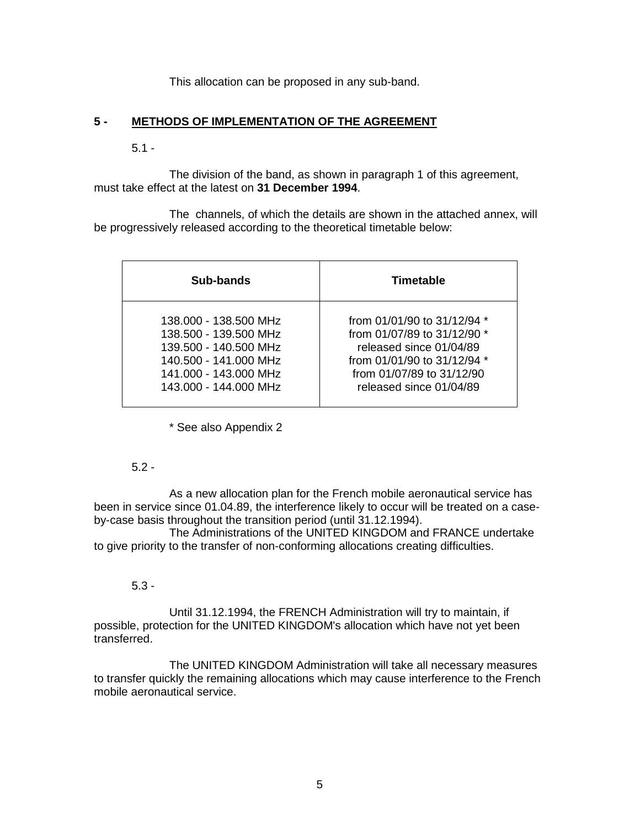This allocation can be proposed in any sub-band.

#### **5 - METHODS OF IMPLEMENTATION OF THE AGREEMENT**

### $5.1 -$

The division of the band, as shown in paragraph 1 of this agreement, must take effect at the latest on **31 December 1994**.

The channels, of which the details are shown in the attached annex, will be progressively released according to the theoretical timetable below:

| Sub-bands             | Timetable                       |
|-----------------------|---------------------------------|
| 138,000 - 138,500 MHz | from $01/01/90$ to $31/12/94$ * |
| 138,500 - 139,500 MHz | from 01/07/89 to 31/12/90 *     |
| 139.500 - 140.500 MHz | released since 01/04/89         |
| 140.500 - 141.000 MHz | from 01/01/90 to 31/12/94 *     |
| 141.000 - 143.000 MHz | from 01/07/89 to 31/12/90       |
| 143,000 - 144,000 MHz | released since 01/04/89         |

\* See also Appendix 2

### 5.2 -

As a new allocation plan for the French mobile aeronautical service has been in service since 01.04.89, the interference likely to occur will be treated on a caseby-case basis throughout the transition period (until 31.12.1994).

The Administrations of the UNITED KINGDOM and FRANCE undertake to give priority to the transfer of non-conforming allocations creating difficulties.

### 5.3 -

Until 31.12.1994, the FRENCH Administration will try to maintain, if possible, protection for the UNITED KINGDOM's allocation which have not yet been transferred.

The UNITED KINGDOM Administration will take all necessary measures to transfer quickly the remaining allocations which may cause interference to the French mobile aeronautical service.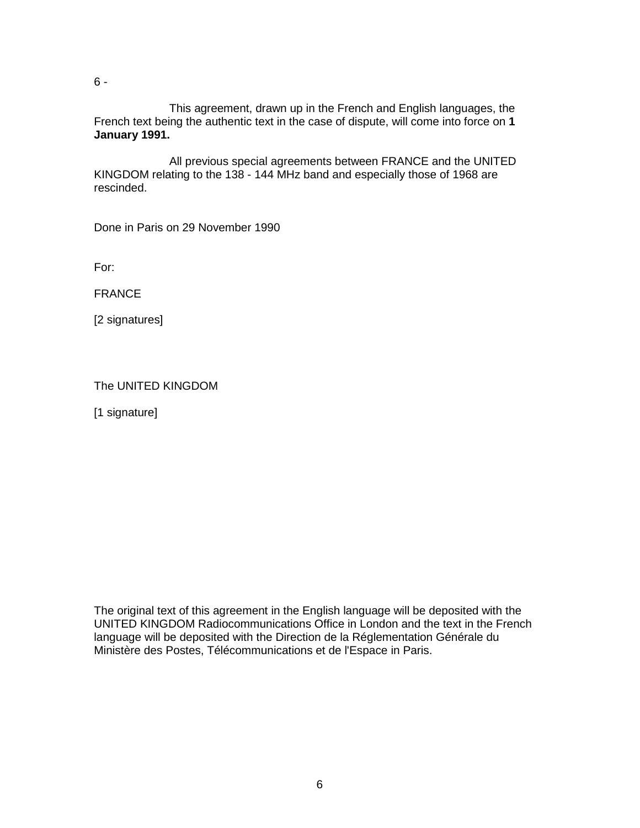6 -

This agreement, drawn up in the French and English languages, the French text being the authentic text in the case of dispute, will come into force on **1 January 1991.**

All previous special agreements between FRANCE and the UNITED KINGDOM relating to the 138 - 144 MHz band and especially those of 1968 are rescinded.

Done in Paris on 29 November 1990

For:

FRANCE

[2 signatures]

|  |  | The UNITED KINGDOM |
|--|--|--------------------|
|--|--|--------------------|

[1 signature]

The original text of this agreement in the English language will be deposited with the UNITED KINGDOM Radiocommunications Office in London and the text in the French language will be deposited with the Direction de la Réglementation Générale du Ministère des Postes, Télécommunications et de l'Espace in Paris.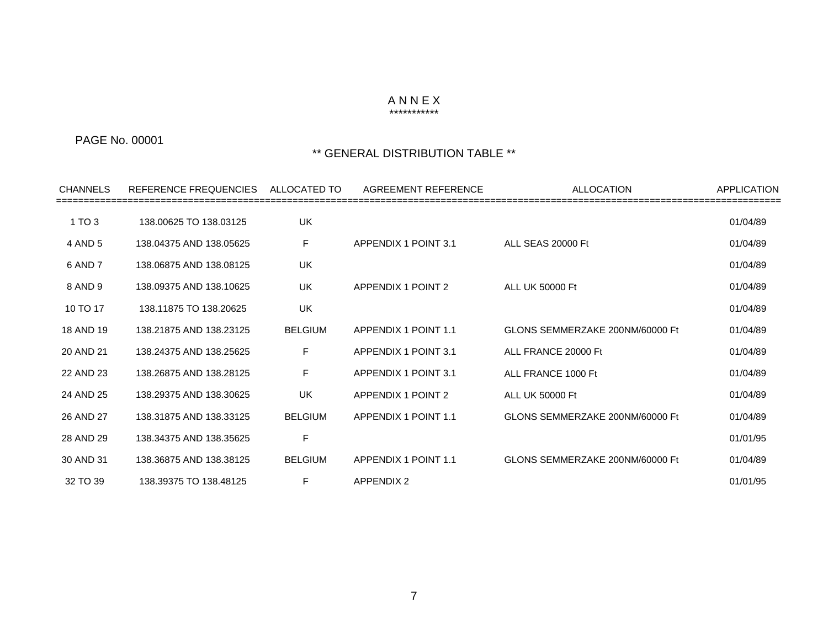#### A N N E X

### \*\*\*\*\*\*\*\*\*\*\*

## PAGE No. 00001

| <b>CHANNELS</b> | REFERENCE FREQUENCIES   | ALLOCATED TO   | AGREEMENT REFERENCE       | <b>ALLOCATION</b>               | <b>APPLICATION</b> |
|-----------------|-------------------------|----------------|---------------------------|---------------------------------|--------------------|
| 1 TO 3          | 138.00625 TO 138.03125  | UK             |                           |                                 | 01/04/89           |
| 4 AND 5         | 138.04375 AND 138.05625 | F              | APPENDIX 1 POINT 3.1      | ALL SEAS 20000 Ft               | 01/04/89           |
| 6 AND 7         | 138.06875 AND 138.08125 | UK             |                           |                                 | 01/04/89           |
| 8 AND 9         | 138.09375 AND 138.10625 | UK             | <b>APPENDIX 1 POINT 2</b> | ALL UK 50000 Ft                 | 01/04/89           |
| 10 TO 17        | 138.11875 TO 138.20625  | <b>UK</b>      |                           |                                 | 01/04/89           |
| 18 AND 19       | 138.21875 AND 138.23125 | <b>BELGIUM</b> | APPENDIX 1 POINT 1.1      | GLONS SEMMERZAKE 200NM/60000 Ft | 01/04/89           |
| 20 AND 21       | 138.24375 AND 138.25625 | F.             | APPENDIX 1 POINT 3.1      | ALL FRANCE 20000 Ft             | 01/04/89           |
| 22 AND 23       | 138.26875 AND 138.28125 | F              | APPENDIX 1 POINT 3.1      | ALL FRANCE 1000 Ft              | 01/04/89           |
| 24 AND 25       | 138.29375 AND 138.30625 | UK             | <b>APPENDIX 1 POINT 2</b> | <b>ALL UK 50000 Ft</b>          | 01/04/89           |
| 26 AND 27       | 138.31875 AND 138.33125 | <b>BELGIUM</b> | APPENDIX 1 POINT 1.1      | GLONS SEMMERZAKE 200NM/60000 Ft | 01/04/89           |
| 28 AND 29       | 138.34375 AND 138.35625 | F              |                           |                                 | 01/01/95           |
| 30 AND 31       | 138.36875 AND 138.38125 | <b>BELGIUM</b> | APPENDIX 1 POINT 1.1      | GLONS SEMMERZAKE 200NM/60000 Ft | 01/04/89           |
| 32 TO 39        | 138.39375 TO 138.48125  | F.             | <b>APPENDIX 2</b>         |                                 | 01/01/95           |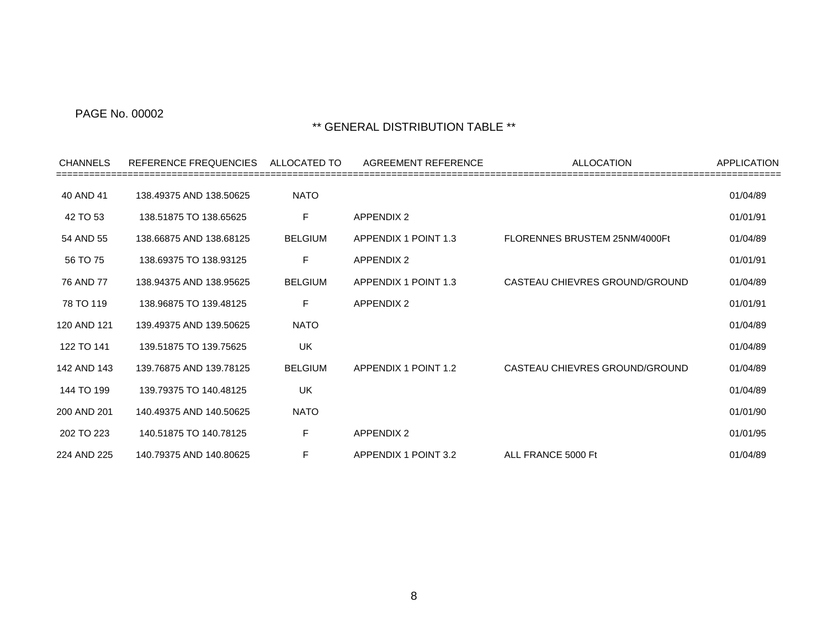| <b>CHANNELS</b> | REFERENCE FREQUENCIES   | ALLOCATED TO   | AGREEMENT REFERENCE  | <b>ALLOCATION</b>              | APPLICATION |
|-----------------|-------------------------|----------------|----------------------|--------------------------------|-------------|
| 40 AND 41       | 138.49375 AND 138.50625 | <b>NATO</b>    |                      |                                | 01/04/89    |
| 42 TO 53        | 138.51875 TO 138.65625  | F.             | <b>APPENDIX 2</b>    |                                | 01/01/91    |
| 54 AND 55       | 138.66875 AND 138.68125 | <b>BELGIUM</b> | APPENDIX 1 POINT 1.3 | FLORENNES BRUSTEM 25NM/4000Ft  | 01/04/89    |
| 56 TO 75        | 138.69375 TO 138.93125  | F              | <b>APPENDIX 2</b>    |                                | 01/01/91    |
| 76 AND 77       | 138.94375 AND 138.95625 | <b>BELGIUM</b> | APPENDIX 1 POINT 1.3 | CASTEAU CHIEVRES GROUND/GROUND | 01/04/89    |
| 78 TO 119       | 138.96875 TO 139.48125  | F              | <b>APPENDIX 2</b>    |                                | 01/01/91    |
| 120 AND 121     | 139.49375 AND 139.50625 | <b>NATO</b>    |                      |                                | 01/04/89    |
| 122 TO 141      | 139.51875 TO 139.75625  | <b>UK</b>      |                      |                                | 01/04/89    |
| 142 AND 143     | 139.76875 AND 139.78125 | <b>BELGIUM</b> | APPENDIX 1 POINT 1.2 | CASTEAU CHIEVRES GROUND/GROUND | 01/04/89    |
| 144 TO 199      | 139.79375 TO 140.48125  | <b>UK</b>      |                      |                                | 01/04/89    |
| 200 AND 201     | 140.49375 AND 140.50625 | <b>NATO</b>    |                      |                                | 01/01/90    |
| 202 TO 223      | 140.51875 TO 140.78125  | F              | <b>APPENDIX 2</b>    |                                | 01/01/95    |
| 224 AND 225     | 140.79375 AND 140.80625 | F              | APPENDIX 1 POINT 3.2 | ALL FRANCE 5000 Ft             | 01/04/89    |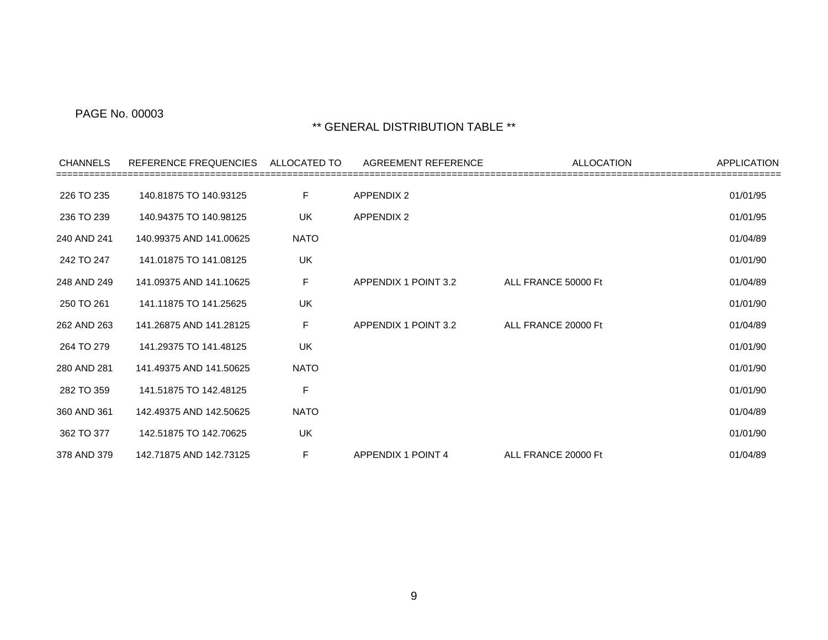| <b>CHANNELS</b> | REFERENCE FREQUENCIES   | ALLOCATED TO | AGREEMENT REFERENCE  | ALLOCATION          | APPLICATION |
|-----------------|-------------------------|--------------|----------------------|---------------------|-------------|
| 226 TO 235      | 140.81875 TO 140.93125  | F.           | <b>APPENDIX 2</b>    |                     | 01/01/95    |
| 236 TO 239      | 140.94375 TO 140.98125  | <b>UK</b>    | <b>APPENDIX 2</b>    |                     | 01/01/95    |
| 240 AND 241     | 140.99375 AND 141.00625 | <b>NATO</b>  |                      |                     | 01/04/89    |
| 242 TO 247      | 141.01875 TO 141.08125  | UK           |                      |                     | 01/01/90    |
| 248 AND 249     | 141.09375 AND 141.10625 | F.           | APPENDIX 1 POINT 3.2 | ALL FRANCE 50000 Ft | 01/04/89    |
| 250 TO 261      | 141.11875 TO 141.25625  | UK           |                      |                     | 01/01/90    |
| 262 AND 263     | 141.26875 AND 141.28125 | F.           | APPENDIX 1 POINT 3.2 | ALL FRANCE 20000 Ft | 01/04/89    |
| 264 TO 279      | 141.29375 TO 141.48125  | <b>UK</b>    |                      |                     | 01/01/90    |
| 280 AND 281     | 141.49375 AND 141.50625 | <b>NATO</b>  |                      |                     | 01/01/90    |
| 282 TO 359      | 141.51875 TO 142.48125  | F            |                      |                     | 01/01/90    |
| 360 AND 361     | 142.49375 AND 142.50625 | <b>NATO</b>  |                      |                     | 01/04/89    |
| 362 TO 377      | 142.51875 TO 142.70625  | <b>UK</b>    |                      |                     | 01/01/90    |
| 378 AND 379     | 142.71875 AND 142.73125 | F.           | APPENDIX 1 POINT 4   | ALL FRANCE 20000 Ft | 01/04/89    |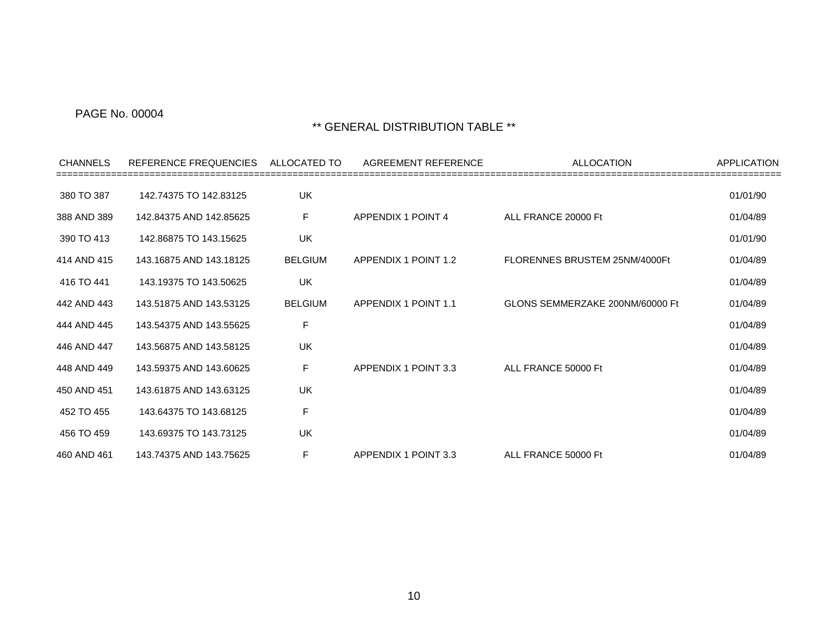| <b>CHANNELS</b> | REFERENCE FREQUENCIES   | ALLOCATED TO   | AGREEMENT REFERENCE  | <b>ALLOCATION</b>               | <b>APPLICATION</b> |
|-----------------|-------------------------|----------------|----------------------|---------------------------------|--------------------|
| 380 TO 387      | 142.74375 TO 142.83125  | UK             |                      |                                 | 01/01/90           |
| 388 AND 389     | 142.84375 AND 142.85625 | F.             | APPENDIX 1 POINT 4   | ALL FRANCE 20000 Ft             | 01/04/89           |
| 390 TO 413      | 142.86875 TO 143.15625  | UK             |                      |                                 | 01/01/90           |
| 414 AND 415     | 143.16875 AND 143.18125 | <b>BELGIUM</b> | APPENDIX 1 POINT 1.2 | FLORENNES BRUSTEM 25NM/4000Ft   | 01/04/89           |
| 416 TO 441      | 143.19375 TO 143.50625  | UK             |                      |                                 | 01/04/89           |
| 442 AND 443     | 143.51875 AND 143.53125 | <b>BELGIUM</b> | APPENDIX 1 POINT 1.1 | GLONS SEMMERZAKE 200NM/60000 Ft | 01/04/89           |
| 444 AND 445     | 143.54375 AND 143.55625 | F              |                      |                                 | 01/04/89           |
| 446 AND 447     | 143.56875 AND 143.58125 | <b>UK</b>      |                      |                                 | 01/04/89           |
| 448 AND 449     | 143.59375 AND 143.60625 | F              | APPENDIX 1 POINT 3.3 | ALL FRANCE 50000 Ft             | 01/04/89           |
| 450 AND 451     | 143.61875 AND 143.63125 | UK             |                      |                                 | 01/04/89           |
| 452 TO 455      | 143.64375 TO 143.68125  | F              |                      |                                 | 01/04/89           |
| 456 TO 459      | 143.69375 TO 143.73125  | <b>UK</b>      |                      |                                 | 01/04/89           |
| 460 AND 461     | 143.74375 AND 143.75625 | F              | APPENDIX 1 POINT 3.3 | ALL FRANCE 50000 Ft             | 01/04/89           |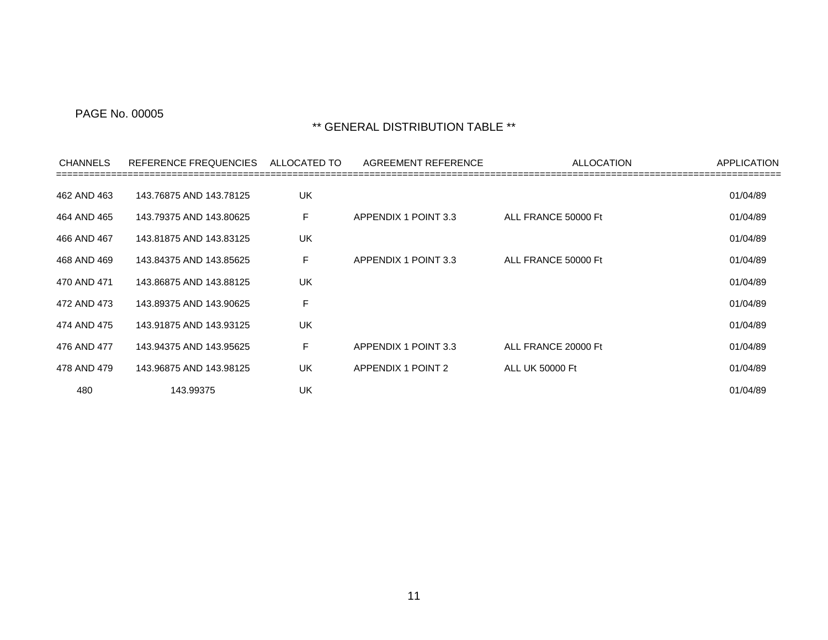| <b>CHANNELS</b> | REFERENCE FREQUENCIES   | ALLOCATED TO | AGREEMENT REFERENCE       | <b>ALLOCATION</b>   | <b>APPLICATION</b> |
|-----------------|-------------------------|--------------|---------------------------|---------------------|--------------------|
| 462 AND 463     | 143.76875 AND 143.78125 | UK           |                           |                     | 01/04/89           |
| 464 AND 465     | 143.79375 AND 143.80625 | F            | APPENDIX 1 POINT 3.3      | ALL FRANCE 50000 Ft | 01/04/89           |
| 466 AND 467     | 143.81875 AND 143.83125 | UK           |                           |                     | 01/04/89           |
| 468 AND 469     | 143.84375 AND 143.85625 | F            | APPENDIX 1 POINT 3.3      | ALL FRANCE 50000 Ft | 01/04/89           |
| 470 AND 471     | 143.86875 AND 143.88125 | UK           |                           |                     | 01/04/89           |
| 472 AND 473     | 143.89375 AND 143.90625 | F            |                           |                     | 01/04/89           |
| 474 AND 475     | 143.91875 AND 143.93125 | UK           |                           |                     | 01/04/89           |
| 476 AND 477     | 143.94375 AND 143.95625 | F            | APPENDIX 1 POINT 3.3      | ALL FRANCE 20000 Ft | 01/04/89           |
| 478 AND 479     | 143.96875 AND 143.98125 | UK           | <b>APPENDIX 1 POINT 2</b> | ALL UK 50000 Ft     | 01/04/89           |
| 480             | 143.99375               | UK           |                           |                     | 01/04/89           |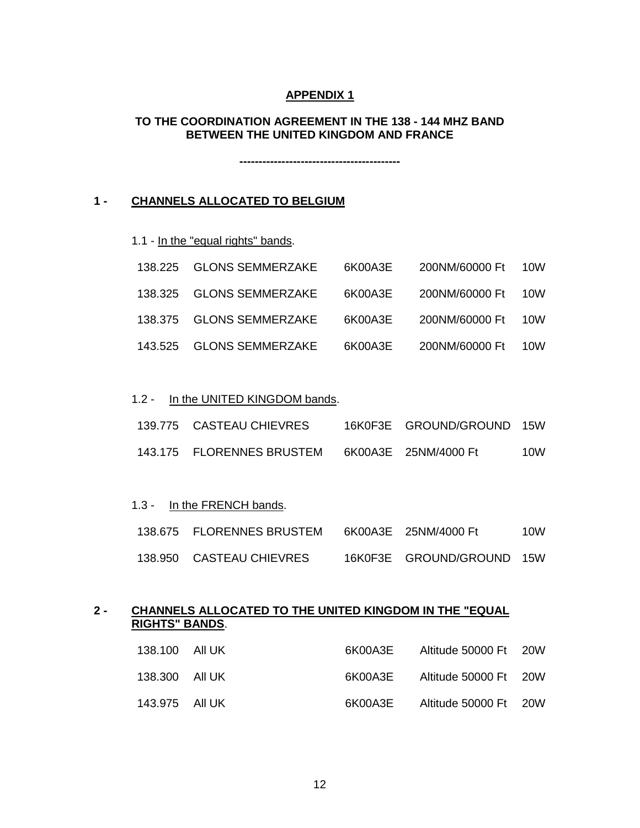### **APPENDIX 1**

### **TO THE COORDINATION AGREEMENT IN THE 138 - 144 MHZ BAND BETWEEN THE UNITED KINGDOM AND FRANCE**

**------------------------------------------**

### **1 - CHANNELS ALLOCATED TO BELGIUM**

1.1 - In the "equal rights" bands.

| 138.225 GLONS SEMMERZAKE | 6K00A3E | 200NM/60000 Ft 10W |  |
|--------------------------|---------|--------------------|--|
| 138.325 GLONS SEMMERZAKE | 6K00A3E | 200NM/60000 Ft 10W |  |
| 138.375 GLONS SEMMERZAKE | 6K00A3E | 200NM/60000 Ft 10W |  |
| 143.525 GLONS SEMMERZAKE | 6K00A3E | 200NM/60000 Ft 10W |  |

#### 1.2 - In the UNITED KINGDOM bands.

| 139.775 CASTEAU CHIEVRES  | 16K0F3E GROUND/GROUND 15W |     |
|---------------------------|---------------------------|-----|
| 143.175 FLORENNES BRUSTEM | 6K00A3E 25NM/4000 Ft      | 10W |

#### 1.3 - In the FRENCH bands.

| 138.675 FLORENNES BRUSTEM | 6K00A3E 25NM/4000 Ft      | 10W |
|---------------------------|---------------------------|-----|
| 138.950 CASTEAU CHIEVRES  | 16K0F3E GROUND/GROUND 15W |     |

# **2 - CHANNELS ALLOCATED TO THE UNITED KINGDOM IN THE "EQUAL RIGHTS" BANDS** .

| 6K00A3E Altitude 50000 Ft 20W |  | 138.100 All UK |
|-------------------------------|--|----------------|
| 6K00A3E Altitude 50000 Ft 20W |  | 138.300 All UK |
| 6K00A3E Altitude 50000 Ft 20W |  | 143.975 All UK |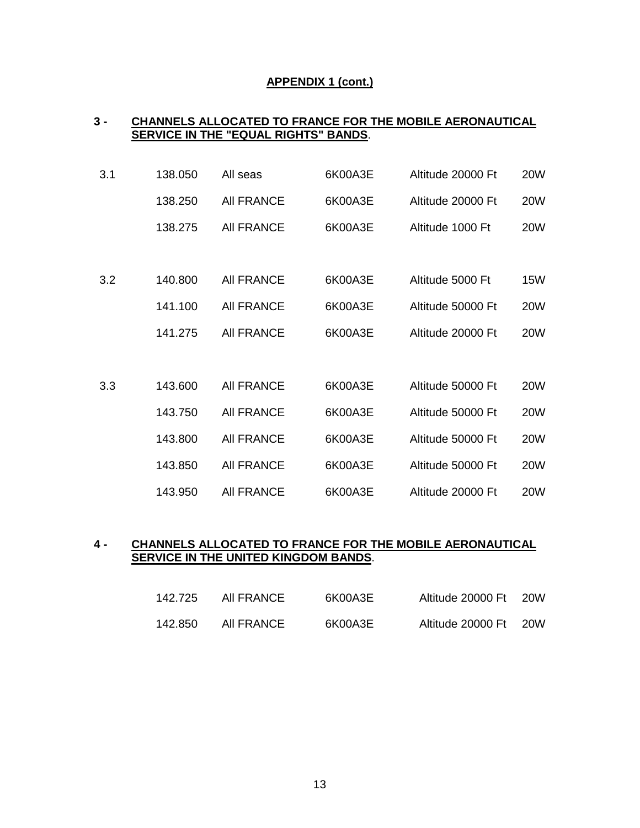### **APPENDIX 1 (cont.)**

## **3 - CHANNELS ALLOCATED TO FRANCE FOR THE MOBILE AERONAUTICAL SERVICE IN THE "EQUAL RIGHTS" BANDS** .

| 3.1 | 138.050 | All seas          | 6K00A3E | Altitude 20000 Ft | <b>20W</b> |
|-----|---------|-------------------|---------|-------------------|------------|
|     | 138.250 | <b>AII FRANCE</b> | 6K00A3E | Altitude 20000 Ft | <b>20W</b> |
|     | 138.275 | <b>AII FRANCE</b> | 6K00A3E | Altitude 1000 Ft  | <b>20W</b> |
|     |         |                   |         |                   |            |
| 3.2 | 140.800 | <b>AII FRANCE</b> | 6K00A3E | Altitude 5000 Ft  | 15W        |
|     | 141.100 | <b>AII FRANCE</b> | 6K00A3E | Altitude 50000 Ft | <b>20W</b> |
|     | 141.275 | <b>AII FRANCE</b> | 6K00A3E | Altitude 20000 Ft | <b>20W</b> |
|     |         |                   |         |                   |            |
| 3.3 | 143.600 | <b>AII FRANCE</b> | 6K00A3E | Altitude 50000 Ft | <b>20W</b> |
|     | 143.750 | <b>AII FRANCE</b> | 6K00A3E | Altitude 50000 Ft | <b>20W</b> |
|     | 143.800 | <b>AII FRANCE</b> | 6K00A3E | Altitude 50000 Ft | <b>20W</b> |
|     | 143.850 | <b>AII FRANCE</b> | 6K00A3E | Altitude 50000 Ft | <b>20W</b> |
|     | 143.950 | <b>AII FRANCE</b> | 6K00A3E | Altitude 20000 Ft | <b>20W</b> |

# **4 - CHANNELS ALLOCATED TO FRANCE FOR THE MOBILE AERONAUTICAL SERVICE IN THE UNITED KINGDOM BANDS** .

| 142.725 | AII FRANCE | 6K00A3E | Altitude 20000 Ft | -20W |
|---------|------------|---------|-------------------|------|
| 142.850 | AII FRANCE | 6K00A3E | Altitude 20000 Ft | 20W  |